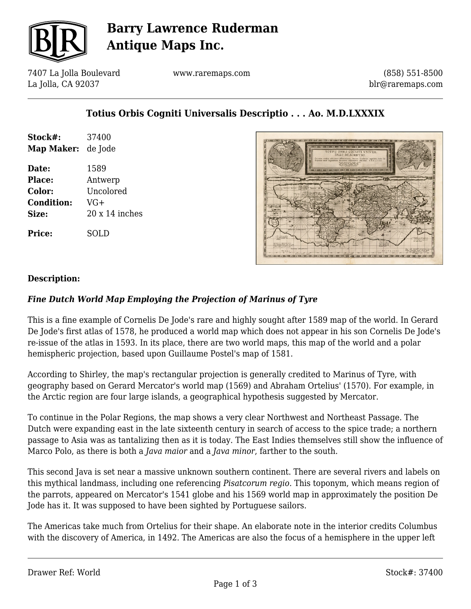

## **Barry Lawrence Ruderman Antique Maps Inc.**

7407 La Jolla Boulevard La Jolla, CA 92037

www.raremaps.com

(858) 551-8500 blr@raremaps.com

## **Totius Orbis Cogniti Universalis Descriptio . . . Ao. M.D.LXXXIX**

| Stock#:           | 37400                 |
|-------------------|-----------------------|
| <b>Map Maker:</b> | de Jode               |
| Date:             | 1589                  |
| Place:            | Antwerp               |
| Color:            | Uncolored             |
| <b>Condition:</b> | VG+                   |
| Size:             | $20 \times 14$ inches |
| <b>Price:</b>     | SOLD                  |



#### **Description:**

#### *Fine Dutch World Map Employing the Projection of Marinus of Tyre*

This is a fine example of Cornelis De Jode's rare and highly sought after 1589 map of the world. In Gerard De Jode's first atlas of 1578, he produced a world map which does not appear in his son Cornelis De Jode's re-issue of the atlas in 1593. In its place, there are two world maps, this map of the world and a polar hemispheric projection, based upon Guillaume Postel's map of 1581.

According to Shirley, the map's rectangular projection is generally credited to Marinus of Tyre, with geography based on Gerard Mercator's world map (1569) and Abraham Ortelius' (1570). For example, in the Arctic region are four large islands, a geographical hypothesis suggested by Mercator.

To continue in the Polar Regions, the map shows a very clear Northwest and Northeast Passage. The Dutch were expanding east in the late sixteenth century in search of access to the spice trade; a northern passage to Asia was as tantalizing then as it is today. The East Indies themselves still show the influence of Marco Polo, as there is both a *Java maior* and a *Java minor*, farther to the south.

This second Java is set near a massive unknown southern continent. There are several rivers and labels on this mythical landmass, including one referencing *Pisatcorum regio.* This toponym, which means region of the parrots, appeared on Mercator's 1541 globe and his 1569 world map in approximately the position De Jode has it. It was supposed to have been sighted by Portuguese sailors.

The Americas take much from Ortelius for their shape. An elaborate note in the interior credits Columbus with the discovery of America, in 1492. The Americas are also the focus of a hemisphere in the upper left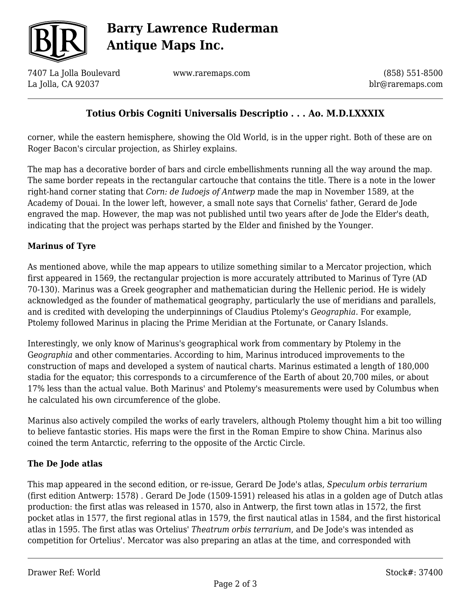

# **Barry Lawrence Ruderman Antique Maps Inc.**

7407 La Jolla Boulevard La Jolla, CA 92037

www.raremaps.com

(858) 551-8500 blr@raremaps.com

## **Totius Orbis Cogniti Universalis Descriptio . . . Ao. M.D.LXXXIX**

corner, while the eastern hemisphere, showing the Old World, is in the upper right. Both of these are on Roger Bacon's circular projection, as Shirley explains.

The map has a decorative border of bars and circle embellishments running all the way around the map. The same border repeats in the rectangular cartouche that contains the title. There is a note in the lower right-hand corner stating that *Corn: de Iudoejs of Antwerp* made the map in November 1589, at the Academy of Douai. In the lower left, however, a small note says that Cornelis' father, Gerard de Jode engraved the map. However, the map was not published until two years after de Jode the Elder's death, indicating that the project was perhaps started by the Elder and finished by the Younger.

#### **Marinus of Tyre**

As mentioned above, while the map appears to utilize something similar to a Mercator projection, which first appeared in 1569, the rectangular projection is more accurately attributed to Marinus of Tyre (AD 70-130). Marinus was a Greek geographer and mathematician during the Hellenic period. He is widely acknowledged as the founder of mathematical geography, particularly the use of meridians and parallels, and is credited with developing the underpinnings of Claudius Ptolemy's *Geographia*. For example, Ptolemy followed Marinus in placing the Prime Meridian at the Fortunate, or Canary Islands.

Interestingly, we only know of Marinus's geographical work from commentary by Ptolemy in the G*eographia* and other commentaries. According to him, Marinus introduced improvements to the construction of maps and developed a system of nautical charts. Marinus estimated a length of 180,000 stadia for the equator; this corresponds to a circumference of the Earth of about 20,700 miles, or about 17% less than the actual value. Both Marinus' and Ptolemy's measurements were used by Columbus when he calculated his own circumference of the globe.

Marinus also actively compiled the works of early travelers, although Ptolemy thought him a bit too willing to believe fantastic stories. His maps were the first in the Roman Empire to show China. Marinus also coined the term Antarctic, referring to the opposite of the Arctic Circle.

### **The De Jode atlas**

This map appeared in the second edition, or re-issue, Gerard De Jode's atlas, *Speculum orbis terrarium* (first edition Antwerp: 1578) *.* Gerard De Jode (1509-1591) released his atlas in a golden age of Dutch atlas production: the first atlas was released in 1570, also in Antwerp, the first town atlas in 1572, the first pocket atlas in 1577, the first regional atlas in 1579, the first nautical atlas in 1584, and the first historical atlas in 1595. The first atlas was Ortelius' *Theatrum orbis terrarium*, and De Jode's was intended as competition for Ortelius'. Mercator was also preparing an atlas at the time, and corresponded with